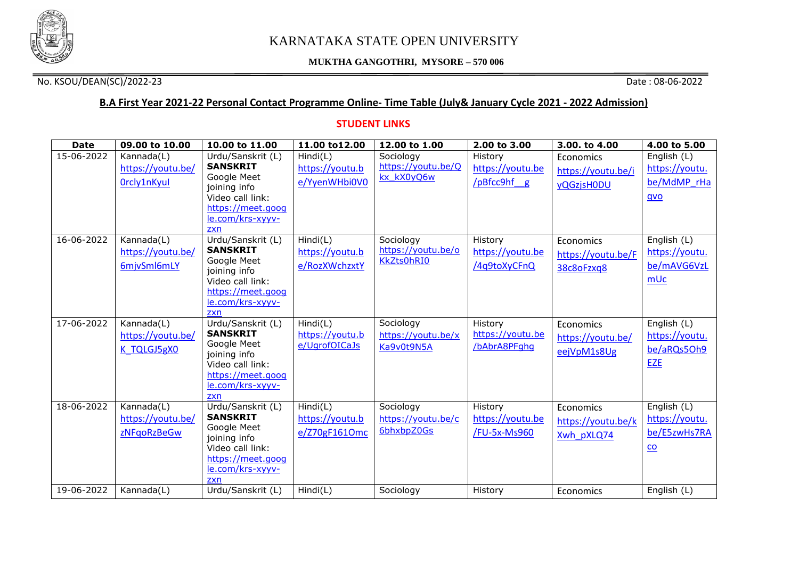

#### **MUKTHA GANGOTHRI, MYSORE – 570 006**

### No. KSOU/DEAN(SC)/2022-23 Date : 08-06-2022

# **B.A First Year 2021-22 Personal Contact Programme Online- Time Table (July& January Cycle 2021 - 2022 Admission)**

### **STUDENT LINKS**

| <b>Date</b> | 09.00 to 10.00    | 10.00 to 11.00                        | 11.00 to12.00   | 12.00 to 1.00                   | 2.00 to 3.00     | 3.00. to 4.00      | 4.00 to 5.00              |
|-------------|-------------------|---------------------------------------|-----------------|---------------------------------|------------------|--------------------|---------------------------|
| 15-06-2022  | Kannada(L)        | Urdu/Sanskrit (L)                     | Hind(C)         | Sociology                       | History          | Economics          | English (L)               |
|             | https://youtu.be/ | <b>SANSKRIT</b>                       | https://youtu.b | https://youtu.be/Q              | https://youtu.be | https://youtu.be/i | https://youtu.            |
|             | Orcly1nKyul       | Google Meet<br>joining info           | e/YyenWHbi0V0   | kx kX0yO6w                      | /pBfcc9hf g      | <b>vQGzjsH0DU</b>  | be/MdMP rHa               |
|             |                   | Video call link:                      |                 |                                 |                  |                    | qvo                       |
|             |                   | https://meet.goog                     |                 |                                 |                  |                    |                           |
|             |                   | le.com/krs-xyyv-                      |                 |                                 |                  |                    |                           |
|             |                   | zxn                                   |                 |                                 |                  |                    |                           |
| 16-06-2022  | Kannada(L)        | Urdu/Sanskrit (L)<br><b>SANSKRIT</b>  | Hind(L)         | Sociology<br>https://youtu.be/o | History          | Economics          | English (L)               |
|             | https://youtu.be/ | Google Meet                           | https://youtu.b | <b>KkZts0hRI0</b>               | https://youtu.be | https://youtu.be/F | https://youtu.            |
|             | 6mjvSml6mLY       | joining info                          | e/RozXWchzxtY   |                                 | /4q9toXyCFnQ     | 38c8oFzxq8         | be/mAVG6VzL               |
|             |                   | Video call link:                      |                 |                                 |                  |                    | mUc                       |
|             |                   | https://meet.goog                     |                 |                                 |                  |                    |                           |
|             |                   | le.com/krs-xyyv-<br>zxn               |                 |                                 |                  |                    |                           |
| 17-06-2022  | Kannada(L)        | Urdu/Sanskrit (L)                     | Hind(C)         | Sociology                       | History          | Economics          | English (L)               |
|             | https://youtu.be/ | <b>SANSKRIT</b>                       | https://youtu.b | https://youtu.be/x              | https://youtu.be | https://youtu.be/  | https://youtu.            |
|             | K TQLGJ5gX0       | Google Meet                           | e/UgrofOICaJs   | Ka9v0t9N5A                      | /bAbrA8PFghq     |                    | be/aRQs5Oh9               |
|             |                   | joining info                          |                 |                                 |                  | eejVpM1s8Ug        |                           |
|             |                   | Video call link:<br>https://meet.goog |                 |                                 |                  |                    | <b>EZE</b>                |
|             |                   | le.com/krs-xyyv-                      |                 |                                 |                  |                    |                           |
|             |                   | zxn                                   |                 |                                 |                  |                    |                           |
| 18-06-2022  | Kannada(L)        | Urdu/Sanskrit (L)                     | Hind(L)         | Sociology                       | History          | Economics          | English (L)               |
|             | https://youtu.be/ | <b>SANSKRIT</b>                       | https://youtu.b | https://youtu.be/c              | https://youtu.be | https://youtu.be/k | https://youtu.            |
|             | zNFqoRzBeGw       | Google Meet<br>joining info           | e/Z70gF1610mc   | 6bhxbpZ0Gs                      | /FU-5x-Ms960     | Xwh pXLQ74         | be/E5zwHs7RA              |
|             |                   | Video call link:                      |                 |                                 |                  |                    | $\underline{\mathsf{co}}$ |
|             |                   | https://meet.goog                     |                 |                                 |                  |                    |                           |
|             |                   | le.com/krs-xyyv-                      |                 |                                 |                  |                    |                           |
|             |                   | zxn                                   |                 |                                 |                  |                    |                           |
| 19-06-2022  | Kannada(L)        | Urdu/Sanskrit (L)                     | Hindi(L)        | Sociology                       | History          | Economics          | English (L)               |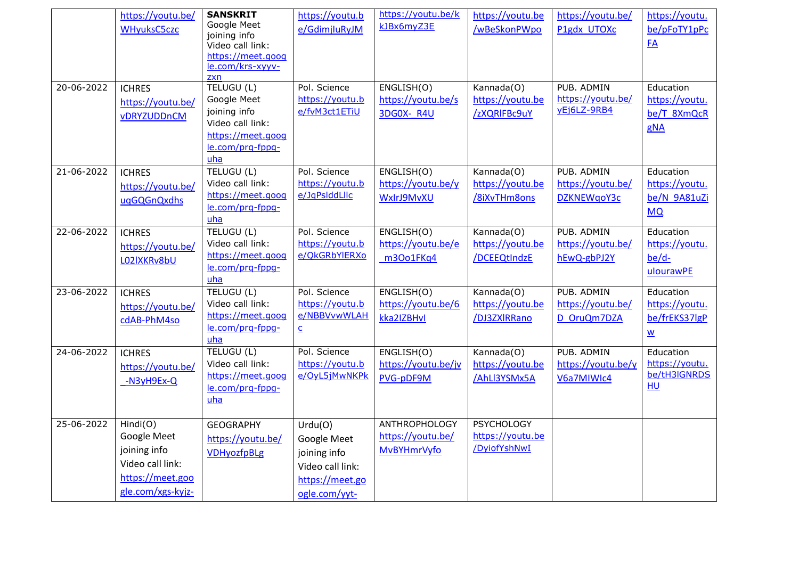|            | https://youtu.be/<br><b>WHyuksC5czc</b>                                                              | <b>SANSKRIT</b><br>Google Meet<br>joining info<br>Video call link:<br>https://meet.goog<br>le.com/krs-xyyv-<br>zxn | https://youtu.b<br>e/GdimjluRyJM                                                               | https://youtu.be/k<br>kJBx6myZ3E                                | https://youtu.be<br>/wBeSkonPWpo                      | https://youtu.be/<br>P1gdx UTOXc               | https://youtu.<br>be/pFoTY1pPc<br>FA                                     |
|------------|------------------------------------------------------------------------------------------------------|--------------------------------------------------------------------------------------------------------------------|------------------------------------------------------------------------------------------------|-----------------------------------------------------------------|-------------------------------------------------------|------------------------------------------------|--------------------------------------------------------------------------|
| 20-06-2022 | <b>ICHRES</b><br>https://youtu.be/<br>vDRYZUDDnCM                                                    | TELUGU (L)<br>Google Meet<br>joining info<br>Video call link:<br>https://meet.goog<br>le.com/prg-fppg-<br>uha      | Pol. Science<br>https://youtu.b<br>e/fvM3ct1ETiU                                               | ENGLISH(O)<br>https://youtu.be/s<br>3DG0X-R4U                   | Kannada(O)<br>https://youtu.be<br>/zXQRIFBc9uY        | PUB, ADMIN<br>https://youtu.be/<br>yEj6LZ-9RB4 | Education<br>https://youtu.<br>be/T 8XmQcR<br>gNA                        |
| 21-06-2022 | <b>ICHRES</b><br>https://youtu.be/<br>uqGQGnQxdhs                                                    | TELUGU (L)<br>Video call link:<br>https://meet.goog<br>le.com/prq-fppq-<br>uha                                     | Pol. Science<br>https://youtu.b<br>e/JqPslddLllc                                               | ENGLISH(O)<br>https://youtu.be/y<br>WxIrJ9MvXU                  | Kannada(O)<br>https://youtu.be<br>/8iXvTHm8ons        | PUB. ADMIN<br>https://youtu.be/<br>DZKNEWqoY3c | Education<br>https://youtu.<br>be/N 9A81uZi<br><b>MQ</b>                 |
| 22-06-2022 | <b>ICHRES</b><br>https://youtu.be/<br>LO2IXKRv8bU                                                    | TELUGU (L)<br>Video call link:<br>https://meet.goog<br>le.com/prq-fppq-<br>$uha$                                   | Pol. Science<br>https://youtu.b<br>e/QkGRbYlERXo                                               | ENGLISH(O)<br>https://youtu.be/e<br>m3Oo1FKq4                   | Kannada(O)<br>https://youtu.be<br>/DCEEQtIndzE        | PUB. ADMIN<br>https://youtu.be/<br>hEwQ-gbPJ2Y | Education<br>https://youtu.<br>$be/d-$<br>ulourawPE                      |
| 23-06-2022 | <b>ICHRES</b><br>https://youtu.be/<br>cdAB-PhM4so                                                    | TELUGU (L)<br>Video call link:<br>https://meet.goog<br>le.com/prq-fppq-<br>uha                                     | Pol. Science<br>https://youtu.b<br>e/NBBVvwWLAH<br>$\overline{\mathsf{c}}$                     | ENGLISH(O)<br>https://youtu.be/6<br>kka2IZBHvI                  | Kannada(O)<br>https://youtu.be<br>/DJ3ZXIRRano        | PUB. ADMIN<br>https://youtu.be/<br>D OruQm7DZA | Education<br>https://youtu.<br>be/frEKS37lgP<br>$\underline{\mathsf{w}}$ |
| 24-06-2022 | <b>ICHRES</b><br>https://youtu.be/<br>-N3yH9Ex-Q                                                     | TELUGU (L)<br>Video call link:<br>https://meet.goog<br>le.com/prq-fppq-<br>uha                                     | Pol. Science<br>https://youtu.b<br>e/OyL5jMwNKPk                                               | ENGLISH(O)<br>https://youtu.be/jv<br>PVG-pDF9M                  | Kannada(O)<br>https://youtu.be<br>/AhLI3YSMx5A        | PUB. ADMIN<br>https://youtu.be/y<br>V6a7MIWIc4 | Education<br>https://youtu.<br>be/tH3IGNRDS<br>HU                        |
| 25-06-2022 | Hindi(O)<br>Google Meet<br>joining info<br>Video call link:<br>https://meet.goo<br>gle.com/xgs-kyjz- | <b>GEOGRAPHY</b><br>https://youtu.be/<br><b>VDHyozfpBLg</b>                                                        | Urdu(O)<br>Google Meet<br>joining info<br>Video call link:<br>https://meet.go<br>ogle.com/yyt- | <b>ANTHROPHOLOGY</b><br>https://youtu.be/<br><b>MvBYHmrVyfo</b> | <b>PSYCHOLOGY</b><br>https://youtu.be<br>/DyiofYshNwI |                                                |                                                                          |